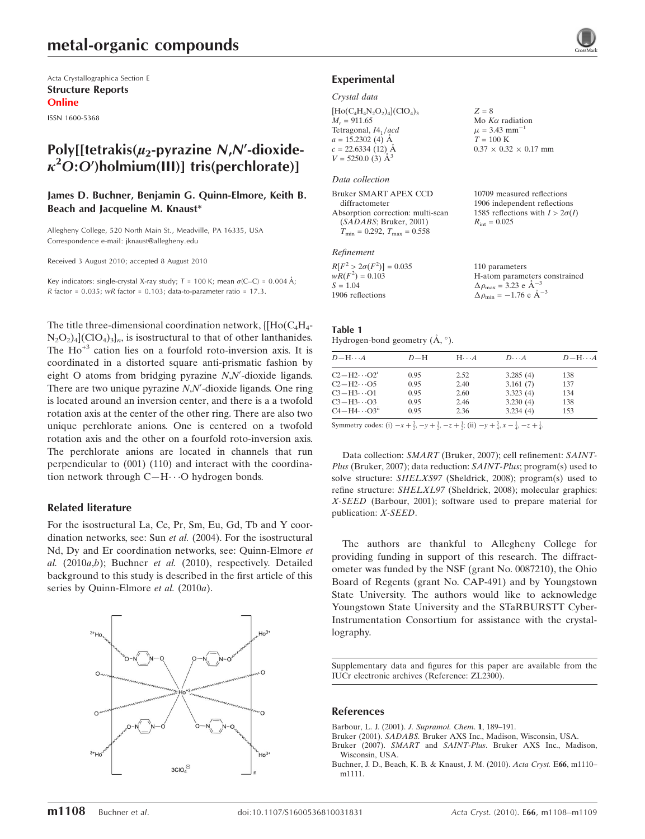Acta Crystallographica Section E Structure Reports Online

ISSN 1600-5368

## Poly[[tetrakis( $\mu_2$ -pyrazine N,N'-dioxide- $\kappa^2$ O:O')holmium(III)] tris(perchlorate)]

#### James D. Buchner, Benjamin G. Quinn-Elmore, Keith B. Beach and Jacqueline M. Knaust\*

Allegheny College, 520 North Main St., Meadville, PA 16335, USA Correspondence e-mail: jknaust@allegheny.edu

Received 3 August 2010; accepted 8 August 2010

Key indicators: single-crystal X-ray study;  $T = 100$  K; mean  $\sigma$ (C–C) = 0.004 Å; R factor =  $0.035$ ; wR factor =  $0.103$ ; data-to-parameter ratio = 17.3.

The title three-dimensional coordination network,  $\{[Ho(C_4H_4 N_2O_2$ )<sub>4</sub>](ClO<sub>4</sub>)<sub>3</sub> $]_n$ , is isostructural to that of other lanthanides. The  $Ho^{+3}$  cation lies on a fourfold roto-inversion axis. It is coordinated in a distorted square anti-prismatic fashion by eight O atoms from bridging pyrazine  $N$ , $N'$ -dioxide ligands. There are two unique pyrazine  $N$ , $N'$ -dioxide ligands. One ring is located around an inversion center, and there is a a twofold rotation axis at the center of the other ring. There are also two unique perchlorate anions. One is centered on a twofold rotation axis and the other on a fourfold roto-inversion axis. The perchlorate anions are located in channels that run perpendicular to (001) (110) and interact with the coordination network through C-H··· O hydrogen bonds.

#### Related literature

For the isostructural La, Ce, Pr, Sm, Eu, Gd, Tb and Y coordination networks, see: Sun et al. (2004). For the isostructural Nd, Dy and Er coordination networks, see: Quinn-Elmore et al.  $(2010a,b)$ ; Buchner et al.  $(2010)$ , respectively. Detailed background to this study is described in the first article of this series by Quinn-Elmore et al. (2010a).



#### Experimental

#### Crystal data

| $[\text{Ho}(C_4H_4N_2O_2)_4]$ (ClO <sub>4</sub> ) <sub>3</sub> |  |
|----------------------------------------------------------------|--|
| $M_r = 911.65$                                                 |  |
| Tetragonal, 14 <sub>1</sub> /acd                               |  |
| $a = 15.2302$ (4) $\AA$                                        |  |
| $c = 22.6334(12)$ Å                                            |  |
| $V = 5250.0$ (3) $\AA^3$                                       |  |

#### Data collection

| 10709 measured reflections             |
|----------------------------------------|
| 1906 independent reflections           |
| 1585 reflections with $I > 2\sigma(I)$ |
| $R_{\rm int} = 0.025$                  |
|                                        |
|                                        |

#### Refinement

| $R[F^2 > 2\sigma(F^2)] = 0.035$ | 110 parameters                                             |
|---------------------------------|------------------------------------------------------------|
| $wR(F^2) = 0.103$               | H-atom parameters constrained                              |
| $S = 1.04$                      | $\Delta \rho_{\text{max}} = 3.23 \text{ e A}^{-3}$         |
| 1906 reflections                | $\Delta \rho_{\rm min} = -1.76 \text{ e } \text{\AA}^{-3}$ |

 $Z = 8$ 

Mo  $K\alpha$  radiation  $\mu = 3.43$  mm<sup>-1</sup>  $T = 100 K$ 

 $0.37 \times 0.32 \times 0.17$  mm

## Table 1

Hydrogen-bond geometry  $(\mathring{A}, \degree)$ .

| $D-H$ | $H\cdots A$ | $D\cdots A$ | $D - H \cdots A$ |
|-------|-------------|-------------|------------------|
| 0.95  | 2.52        | 3.285(4)    | 138              |
| 0.95  | 2.40        | 3.161(7)    | 137              |
| 0.95  | 2.60        | 3.323(4)    | 134              |
| 0.95  | 2.46        | 3.230(4)    | 138              |
| 0.95  | 2.36        | 3.234(4)    | 153              |
|       |             |             |                  |

Symmetry codes: (i)  $-x + \frac{3}{2}$ ,  $-y + \frac{1}{2}$ ,  $-z + \frac{1}{2}$ ; (ii)  $-y + \frac{3}{4}$ ,  $x - \frac{1}{4}$ ,  $-z + \frac{1}{4}$ .

Data collection: SMART (Bruker, 2007); cell refinement: SAINT-Plus (Bruker, 2007); data reduction: SAINT-Plus; program(s) used to solve structure: SHELXS97 (Sheldrick, 2008); program(s) used to refine structure: SHELXL97 (Sheldrick, 2008); molecular graphics: X-SEED (Barbour, 2001); software used to prepare material for publication: X-SEED.

The authors are thankful to Allegheny College for providing funding in support of this research. The diffractometer was funded by the NSF (grant No. 0087210), the Ohio Board of Regents (grant No. CAP-491) and by Youngstown State University. The authors would like to acknowledge Youngstown State University and the STaRBURSTT Cyber-Instrumentation Consortium for assistance with the crystallography.

Supplementary data and figures for this paper are available from the IUCr electronic archives (Reference: ZL2300).

#### References

- [Barbour, L. J. \(2001\).](https://scripts.iucr.org/cgi-bin/cr.cgi?rm=pdfbb&cnor=zl2300&bbid=BB1) J. Supramol. Chem. 1, 189–191.
- Bruker (2001). SADABS. [Bruker AXS Inc., Madison, Wisconsin, USA.](https://scripts.iucr.org/cgi-bin/cr.cgi?rm=pdfbb&cnor=zl2300&bbid=BB2)
- Bruker (2007). SMART and SAINT-Plus[. Bruker AXS Inc., Madison,](https://scripts.iucr.org/cgi-bin/cr.cgi?rm=pdfbb&cnor=zl2300&bbid=BB3) [Wisconsin, USA.](https://scripts.iucr.org/cgi-bin/cr.cgi?rm=pdfbb&cnor=zl2300&bbid=BB3)
- [Buchner, J. D., Beach, K. B. & Knaust, J. M. \(2010\).](https://scripts.iucr.org/cgi-bin/cr.cgi?rm=pdfbb&cnor=zl2300&bbid=BB4) Acta Cryst. E66, m1110– [m1111.](https://scripts.iucr.org/cgi-bin/cr.cgi?rm=pdfbb&cnor=zl2300&bbid=BB4)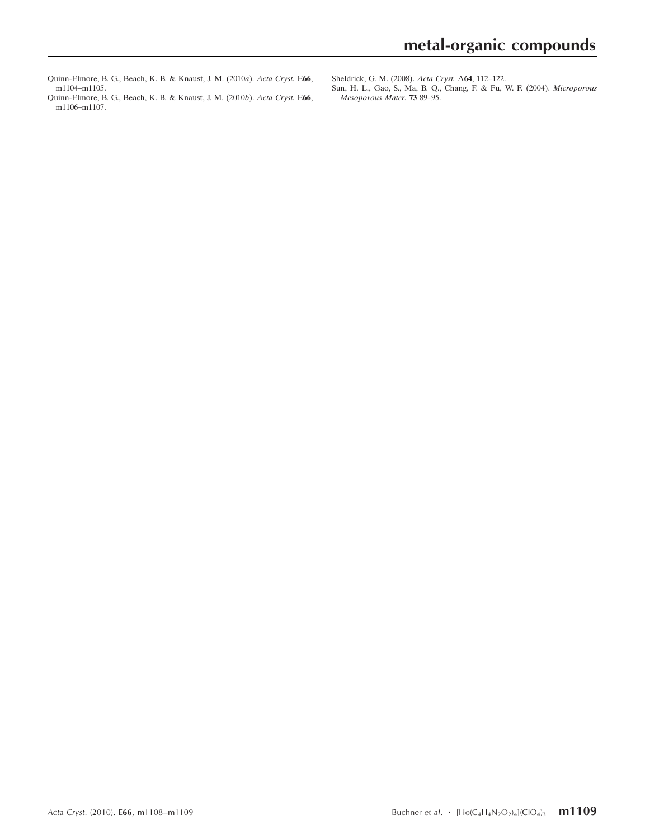- [Quinn-Elmore, B. G., Beach, K. B. & Knaust, J. M. \(2010](https://scripts.iucr.org/cgi-bin/cr.cgi?rm=pdfbb&cnor=zl2300&bbid=BB5)a). Acta Cryst. E66, [m1104–m1105.](https://scripts.iucr.org/cgi-bin/cr.cgi?rm=pdfbb&cnor=zl2300&bbid=BB5)
- [Quinn-Elmore, B. G., Beach, K. B. & Knaust, J. M. \(2010](https://scripts.iucr.org/cgi-bin/cr.cgi?rm=pdfbb&cnor=zl2300&bbid=BB6)b). Acta Cryst. E66, [m1106–m1107.](https://scripts.iucr.org/cgi-bin/cr.cgi?rm=pdfbb&cnor=zl2300&bbid=BB6)

[Sun, H. L., Gao, S., Ma, B. Q., Chang, F. & Fu, W. F. \(2004\).](https://scripts.iucr.org/cgi-bin/cr.cgi?rm=pdfbb&cnor=zl2300&bbid=BB8) Microporous [Mesoporous Mater.](https://scripts.iucr.org/cgi-bin/cr.cgi?rm=pdfbb&cnor=zl2300&bbid=BB8) 73 89–95.

[Sheldrick, G. M. \(2008\).](https://scripts.iucr.org/cgi-bin/cr.cgi?rm=pdfbb&cnor=zl2300&bbid=BB7) Acta Cryst. A64, 112–122.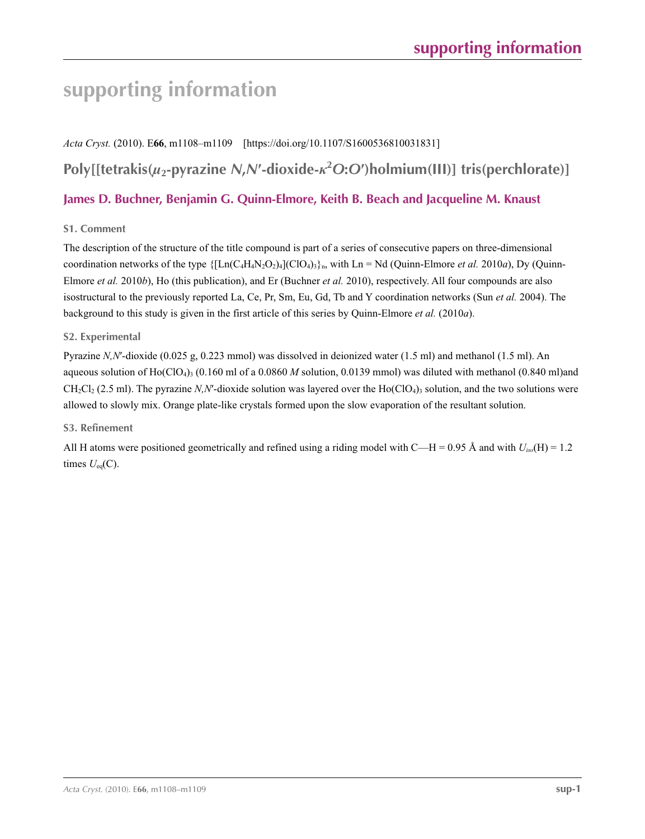# **supporting information**

*Acta Cryst.* (2010). E**66**, m1108–m1109 [https://doi.org/10.1107/S1600536810031831] **Poly[[tetrakis(***µ***2-pyrazine** *N***,***N***′-dioxide-***κ***<sup>2</sup>** *O***:***O***′)holmium(III)] tris(perchlorate)] James D. Buchner, Benjamin G. Quinn-Elmore, Keith B. Beach and Jacqueline M. Knaust**

## **S1. Comment**

The description of the structure of the title compound is part of a series of consecutive papers on three-dimensional coordination networks of the type  $\{[Ln(C_4H_4N_2O_2)_4](ClO_4)\}$ <sub>h</sub>, with Ln = Nd (Quinn-Elmore *et al.* 2010*a*), Dy (Quinn-Elmore *et al.* 2010*b*), Ho (this publication), and Er (Buchner *et al.* 2010), respectively. All four compounds are also isostructural to the previously reported La, Ce, Pr, Sm, Eu, Gd, Tb and Y coordination networks (Sun *et al.* 2004). The background to this study is given in the first article of this series by Quinn-Elmore *et al.* (2010*a*).

## **S2. Experimental**

Pyrazine *N,N*′-dioxide (0.025 g, 0.223 mmol) was dissolved in deionized water (1.5 ml) and methanol (1.5 ml). An aqueous solution of  $Ho(CIO<sub>4</sub>)<sub>3</sub>$  (0.160 ml of a 0.0860 *M* solution, 0.0139 mmol) was diluted with methanol (0.840 ml)and  $CH_2Cl_2$  (2.5 ml). The pyrazine *N,N'*-dioxide solution was layered over the  $Ho(ClO_4)$ <sub>3</sub> solution, and the two solutions were allowed to slowly mix. Orange plate-like crystals formed upon the slow evaporation of the resultant solution.

## **S3. Refinement**

All H atoms were positioned geometrically and refined using a riding model with C—H = 0.95 Å and with  $U_{i\omega}(\text{H}) = 1.2$ times  $U_{eq}(C)$ .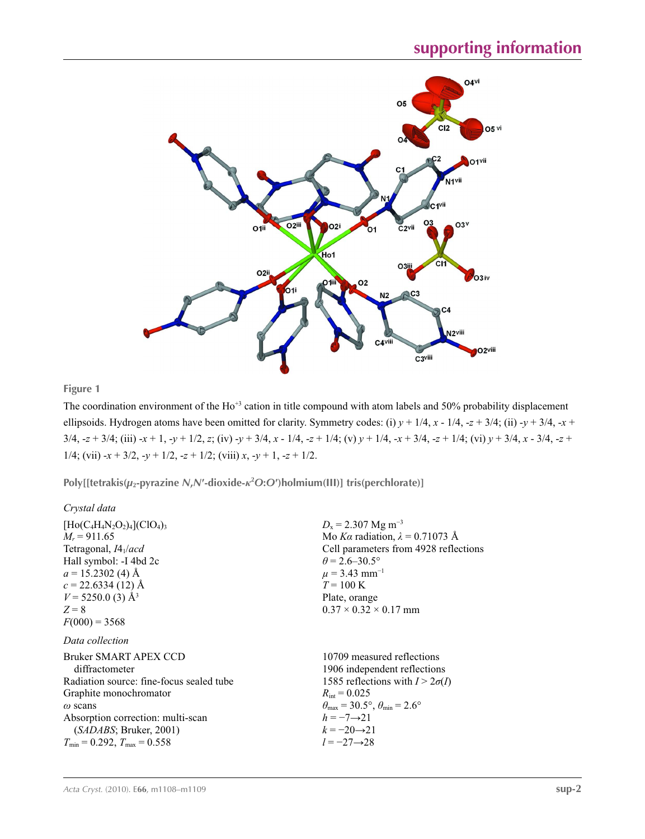

## **Figure 1**

The coordination environment of the  $Ho^{+3}$  cation in title compound with atom labels and 50% probability displacement ellipsoids. Hydrogen atoms have been omitted for clarity. Symmetry codes: (i)  $y + 1/4$ ,  $x - 1/4$ ,  $-z + 3/4$ ; (ii)  $-y + 3/4$ ,  $-x +$  $3/4$ ,  $-z + 3/4$ ; (iii)  $-x + 1$ ,  $-y + 1/2$ , z; (iv)  $-y + 3/4$ ,  $x - 1/4$ ,  $-z + 1/4$ ; (v)  $y + 1/4$ ,  $-x + 3/4$ ,  $-z + 1/4$ ; (vi)  $y + 3/4$ ,  $x - 3/4$ ,  $-z + 1/4$ 1/4; (vii)  $-x + 3/2$ ,  $-y + 1/2$ ,  $-z + 1/2$ ; (viii) *x*,  $-y + 1$ ,  $-z + 1/2$ .

**Poly[[tetrakis(***µ***2-pyrazine** *N***,***N***′-dioxide-***κ***<sup>2</sup>** *O***:***O***′)holmium(III)] tris(perchlorate)]** 

| Crystal data                                                                                                                                                                                                                                 |                                                                                                                                                                                                                                                           |
|----------------------------------------------------------------------------------------------------------------------------------------------------------------------------------------------------------------------------------------------|-----------------------------------------------------------------------------------------------------------------------------------------------------------------------------------------------------------------------------------------------------------|
| $[Ho(C_4H_4N_2O_2)_4]$ (ClO <sub>4</sub> ) <sub>3</sub><br>$M_r = 911.65$<br>Tetragonal, $I4_1/acd$<br>Hall symbol: -I 4bd 2c<br>$a = 15.2302$ (4) Å<br>$c = 22.6334(12)$ Å<br>$V = 5250.0$ (3) Å <sup>3</sup><br>$Z = 8$<br>$F(000) = 3568$ | $D_x = 2.307$ Mg m <sup>-3</sup><br>Mo Ka radiation, $\lambda = 0.71073$ Å<br>Cell parameters from 4928 reflections<br>$\theta$ = 2.6–30.5°<br>$\mu$ = 3.43 mm <sup>-1</sup><br>$T = 100 \text{ K}$<br>Plate, orange<br>$0.37 \times 0.32 \times 0.17$ mm |
| Data collection<br>Bruker SMART APEX CCD<br>diffractometer<br>Radiation source: fine-focus sealed tube<br>Graphite monochromator<br>$\omega$ scans<br>Absorption correction: multi-scan                                                      | 10709 measured reflections<br>1906 independent reflections<br>1585 reflections with $I > 2\sigma(I)$<br>$R_{\text{int}} = 0.025$<br>$\theta_{\text{max}} = 30.5^{\circ}, \theta_{\text{min}} = 2.6^{\circ}$<br>$h = -7 \rightarrow 21$                    |
| (SADABS; Bruker, 2001)<br>$T_{\text{min}} = 0.292$ , $T_{\text{max}} = 0.558$                                                                                                                                                                | $k = -20 \rightarrow 21$<br>$l = -27 \rightarrow 28$                                                                                                                                                                                                      |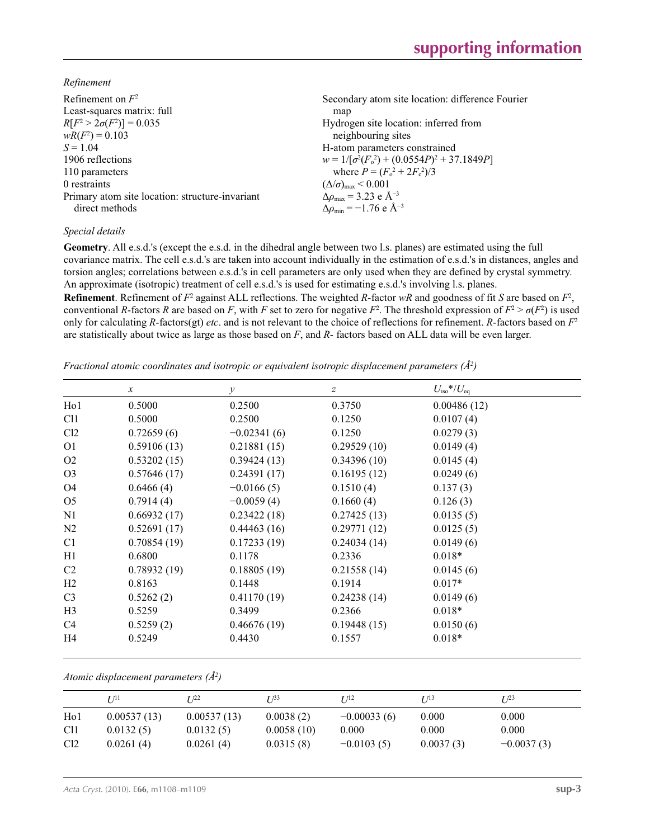*Refinement*

| Refinement on $F^2$                             | Secondary atom site location: difference Fourier            |
|-------------------------------------------------|-------------------------------------------------------------|
| Least-squares matrix: full                      | map                                                         |
| $R[F^2 > 2\sigma(F^2)] = 0.035$                 | Hydrogen site location: inferred from                       |
| $wR(F^2) = 0.103$                               | neighbouring sites                                          |
| $S = 1.04$                                      | H-atom parameters constrained                               |
| 1906 reflections                                | $w = 1/[\sigma^2(F_0^2) + (0.0554P)^2 + 37.1849P]$          |
| 110 parameters                                  | where $P = (F_o^2 + 2F_c^2)/3$                              |
| 0 restraints                                    | $(\Delta/\sigma)_{\text{max}}$ < 0.001                      |
| Primary atom site location: structure-invariant | $\Delta\rho_{\text{max}} = 3.23 \text{ e } \text{\AA}^{-3}$ |
| direct methods                                  | $\Delta \rho_{\rm min} = -1.76$ e Å <sup>-3</sup>           |
|                                                 |                                                             |

#### *Special details*

**Geometry**. All e.s.d.'s (except the e.s.d. in the dihedral angle between two l.s. planes) are estimated using the full covariance matrix. The cell e.s.d.'s are taken into account individually in the estimation of e.s.d.'s in distances, angles and torsion angles; correlations between e.s.d.'s in cell parameters are only used when they are defined by crystal symmetry. An approximate (isotropic) treatment of cell e.s.d.'s is used for estimating e.s.d.'s involving l.s. planes.

**Refinement**. Refinement of  $F^2$  against ALL reflections. The weighted R-factor wR and goodness of fit *S* are based on  $F^2$ , conventional *R*-factors *R* are based on *F*, with *F* set to zero for negative  $F^2$ . The threshold expression of  $F^2 > \sigma(F^2)$  is used only for calculating *R*-factors(gt) *etc*. and is not relevant to the choice of reflections for refinement. *R*-factors based on *F*<sup>2</sup> are statistically about twice as large as those based on *F*, and *R*- factors based on ALL data will be even larger.

*Fractional atomic coordinates and isotropic or equivalent isotropic displacement parameters (Å<sup>2</sup>)* 

|                  | $\mathcal{X}$ | $\mathcal{Y}$ | $\boldsymbol{Z}$ | $U_{\rm iso}*/U_{\rm eq}$ |
|------------------|---------------|---------------|------------------|---------------------------|
| H <sub>o</sub> 1 | 0.5000        | 0.2500        | 0.3750           | 0.00486(12)               |
| C11              | 0.5000        | 0.2500        | 0.1250           | 0.0107(4)                 |
| Cl2              | 0.72659(6)    | $-0.02341(6)$ | 0.1250           | 0.0279(3)                 |
| O <sub>1</sub>   | 0.59106(13)   | 0.21881(15)   | 0.29529(10)      | 0.0149(4)                 |
| O <sub>2</sub>   | 0.53202(15)   | 0.39424(13)   | 0.34396(10)      | 0.0145(4)                 |
| O <sub>3</sub>   | 0.57646(17)   | 0.24391(17)   | 0.16195(12)      | 0.0249(6)                 |
| O4               | 0.6466(4)     | $-0.0166(5)$  | 0.1510(4)        | 0.137(3)                  |
| O <sub>5</sub>   | 0.7914(4)     | $-0.0059(4)$  | 0.1660(4)        | 0.126(3)                  |
| N1               | 0.66932(17)   | 0.23422(18)   | 0.27425(13)      | 0.0135(5)                 |
| N <sub>2</sub>   | 0.52691(17)   | 0.44463(16)   | 0.29771(12)      | 0.0125(5)                 |
| C <sub>1</sub>   | 0.70854(19)   | 0.17233(19)   | 0.24034(14)      | 0.0149(6)                 |
| H1               | 0.6800        | 0.1178        | 0.2336           | $0.018*$                  |
| C2               | 0.78932(19)   | 0.18805(19)   | 0.21558(14)      | 0.0145(6)                 |
| H <sub>2</sub>   | 0.8163        | 0.1448        | 0.1914           | $0.017*$                  |
| C <sub>3</sub>   | 0.5262(2)     | 0.41170(19)   | 0.24238(14)      | 0.0149(6)                 |
| H <sub>3</sub>   | 0.5259        | 0.3499        | 0.2366           | $0.018*$                  |
| C <sub>4</sub>   | 0.5259(2)     | 0.46676(19)   | 0.19448(15)      | 0.0150(6)                 |
| H4               | 0.5249        | 0.4430        | 0.1557           | $0.018*$                  |

*Atomic displacement parameters (Å2 )*

|                  | 7 71 1      | T 122       | T 133      | T 112         | I/13      | $I^{23}$     |
|------------------|-------------|-------------|------------|---------------|-----------|--------------|
| H <sub>0</sub> 1 | 0.00537(13) | 0.00537(13) | 0.0038(2)  | $-0.00033(6)$ | 0.000     | 0.000        |
| C <sub>11</sub>  | 0.0132(5)   | 0.0132(5)   | 0.0058(10) | 0.000         | 0.000     | 0.000        |
| Cl <sub>2</sub>  | 0.0261(4)   | 0.0261(4)   | 0.0315(8)  | $-0.0103(5)$  | 0.0037(3) | $-0.0037(3)$ |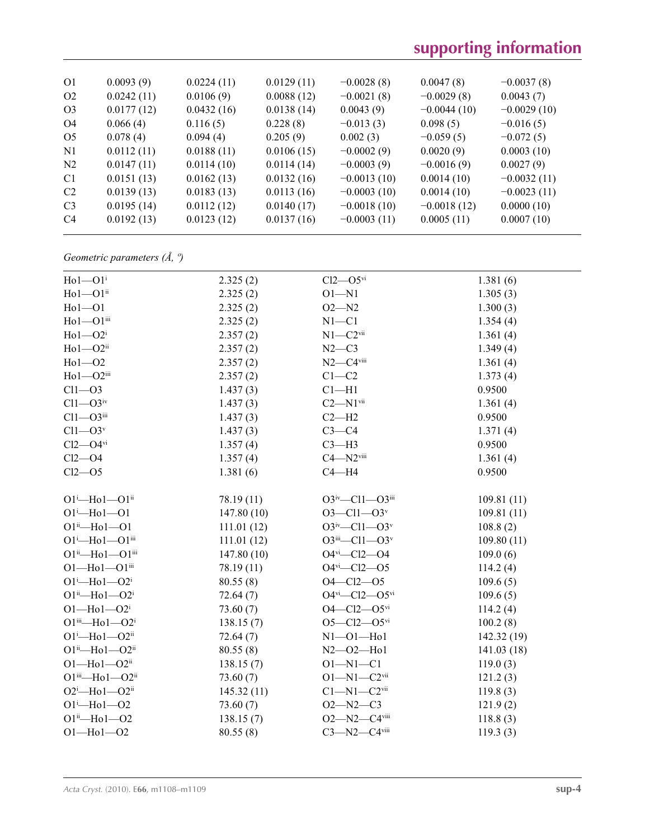# **supporting information**

| O <sub>1</sub> | 0.0093(9)  | 0.0224(11) | 0.0129(11) | $-0.0028(8)$  | 0.0047(8)     | $-0.0037(8)$  |
|----------------|------------|------------|------------|---------------|---------------|---------------|
| O <sub>2</sub> | 0.0242(11) | 0.0106(9)  | 0.0088(12) | $-0.0021(8)$  | $-0.0029(8)$  | 0.0043(7)     |
| O <sub>3</sub> | 0.0177(12) | 0.0432(16) | 0.0138(14) | 0.0043(9)     | $-0.0044(10)$ | $-0.0029(10)$ |
| O <sub>4</sub> | 0.066(4)   | 0.116(5)   | 0.228(8)   | $-0.013(3)$   | 0.098(5)      | $-0.016(5)$   |
| O <sub>5</sub> | 0.078(4)   | 0.094(4)   | 0.205(9)   | 0.002(3)      | $-0.059(5)$   | $-0.072(5)$   |
| N1             | 0.0112(11) | 0.0188(11) | 0.0106(15) | $-0.0002(9)$  | 0.0020(9)     | 0.0003(10)    |
| N <sub>2</sub> | 0.0147(11) | 0.0114(10) | 0.0114(14) | $-0.0003(9)$  | $-0.0016(9)$  | 0.0027(9)     |
| C <sub>1</sub> | 0.0151(13) | 0.0162(13) | 0.0132(16) | $-0.0013(10)$ | 0.0014(10)    | $-0.0032(11)$ |
| C <sub>2</sub> | 0.0139(13) | 0.0183(13) | 0.0113(16) | $-0.0003(10)$ | 0.0014(10)    | $-0.0023(11)$ |
| C <sub>3</sub> | 0.0195(14) | 0.0112(12) | 0.0140(17) | $-0.0018(10)$ | $-0.0018(12)$ | 0.0000(10)    |
| C <sub>4</sub> | 0.0192(13) | 0.0123(12) | 0.0137(16) | $-0.0003(11)$ | 0.0005(11)    | 0.0007(10)    |
|                |            |            |            |               |               |               |

## *Geometric parameters (Å, º)*

| $Ho1-O1i$                             | 2.325(2)   | $Cl2$ — $O5$ <sup>vi</sup>               | 1.381(6)    |
|---------------------------------------|------------|------------------------------------------|-------------|
| $Ho1 - O1ii$                          | 2.325(2)   | $O1 - N1$                                | 1.305(3)    |
| $Ho1-O1$                              | 2.325(2)   | $O2 - N2$                                | 1.300(3)    |
| $Ho1 - O1$ <sup>iii</sup>             | 2.325(2)   | $N1 - C1$                                | 1.354(4)    |
| $Ho1$ -O2 <sup>i</sup>                | 2.357(2)   | $N1 - C2$ <sup>vii</sup>                 | 1.361(4)    |
| $Ho1$ — $O2$ <sup>ii</sup>            | 2.357(2)   | $N2-C3$                                  | 1.349(4)    |
| $Ho1 - O2$                            | 2.357(2)   | $N2 - C4$ <sup>viii</sup>                | 1.361(4)    |
| $Ho1 - O2iii$                         | 2.357(2)   | $C1 - C2$                                | 1.373(4)    |
| $Cl1 - O3$                            | 1.437(3)   | $Cl-H1$                                  | 0.9500      |
| $Cl1 - O3$ iv                         | 1.437(3)   | $C2 - N1$ <sup>vii</sup>                 | 1.361(4)    |
| $Cl1 - O3$ iii                        | 1.437(3)   | $C2 - H2$                                | 0.9500      |
| $Cl1 - O3v$                           | 1.437(3)   | $C3-C4$                                  | 1.371(4)    |
| $Cl2$ -O4 $\rm{vi}$                   | 1.357(4)   | $C3-H3$                                  | 0.9500      |
| $Cl2$ -O4                             | 1.357(4)   | $C4 - N2$ <sup>viii</sup>                | 1.361(4)    |
| $Cl2 - O5$                            | 1.381(6)   | $C4 - H4$                                | 0.9500      |
|                                       |            |                                          |             |
| $O1^i$ -Ho $1$ - $O1^i$               | 78.19 (11) | $O3^{iv}$ -Cl1- $O3^{iii}$               | 109.81(11)  |
| $O1^{i}$ -Ho $1$ --O1                 | 147.80(10) | $O3 - Cl1 - O3v$                         | 109.81(11)  |
| $O1^{ii}$ -Ho $1$ --O1                | 111.01(12) | $O3^{iv}$ -Cl1- $O3^{v}$                 | 108.8(2)    |
| $O1^i$ -Ho $1$ --O $1$ <sup>iii</sup> | 111.01(12) | $O3$ <sup>iii</sup> —Cl1—O3 <sup>v</sup> | 109.80(11)  |
| $O1^{ii}$ -Ho $1$ - $O1^{iii}$        | 147.80(10) | $O4$ <sup>vi</sup> - $Cl2$ - $O4$        | 109.0(6)    |
| $O1 - Ho1 - O1$ iii                   | 78.19 (11) | $O4$ <sup>vi</sup> - $Cl2$ - $O5$        | 114.2(4)    |
| $O1^i$ -Ho $1$ - $O2^i$               | 80.55(8)   | $O4 - Cl2 - O5$                          | 109.6(5)    |
| $O1^{ii}$ -Ho $1$ - $O2^{i}$          | 72.64(7)   | $O4^{vi}$ - $Cl2$ - $O5^{vi}$            | 109.6(5)    |
| $O1 - Ho1 - O2i$                      | 73.60(7)   | $O4 - Cl2 - O5$ <sup>vi</sup>            | 114.2(4)    |
| $O1$ iii—Ho $1 - O2$ <sup>i</sup>     | 138.15(7)  | $O5 - Cl2 - O5$ <sup>vi</sup>            | 100.2(8)    |
| $O1^i$ -Ho $1$ - $O2^{ii}$            | 72.64(7)   | $N1 - 01 - Hol$                          | 142.32 (19) |
| $O1^{ii}$ -Ho $1$ - $O2^{ii}$         | 80.55(8)   | $N2 - 02 - Hol$                          | 141.03(18)  |
| $O1 - Ho1 - O2ii$                     | 138.15(7)  | $O1 - N1 - C1$                           | 119.0(3)    |
| $O1^{iii}$ -Ho $1$ -O2 $^{ii}$        | 73.60(7)   | $O1 - N1 - C2$ <sup>vii</sup>            | 121.2(3)    |
| $O2^i$ -Ho $1$ - $O2^i$               | 145.32(11) | $C1 - N1 - C2$ <sup>vii</sup>            | 119.8(3)    |
| $O1^i$ -Ho $1$ -O2                    | 73.60(7)   | $O2 - N2 - C3$                           | 121.9(2)    |
| $O1^{ii}$ —Ho $1$ —O2                 | 138.15(7)  | $O2 - N2 - C4$ <sup>viii</sup>           | 118.8(3)    |
| $O1 - Ho1 - O2$                       | 80.55(8)   | $C3 - N2 - C4$ viii                      | 119.3(3)    |
|                                       |            |                                          |             |